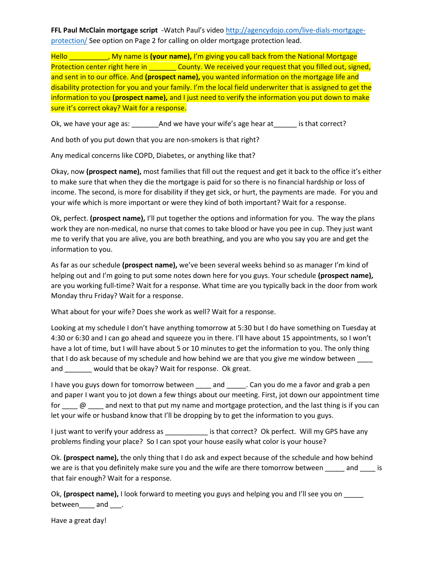**FFL Paul McClain mortgage script** -Watch Paul's video [http://agencydojo.com/live-dials-mortgage](http://agencydojo.com/live-dials-mortgage-protection/)[protection/](http://agencydojo.com/live-dials-mortgage-protection/) See option on Page 2 for calling on older mortgage protection lead.

Hello \_\_\_\_\_\_\_\_\_\_\_, My name is (your name), I'm giving you call back from the National Mortgage Protection center right here in \_\_\_\_\_\_\_\_ County. We received your request that you filled out, signed, and sent in to our office. And **(prospect name),** you wanted information on the mortgage life and disability protection for you and your family. I'm the local field underwriter that is assigned to get the information to you **(prospect name),** and I just need to verify the information you put down to make sure it's correct okay? Wait for a response.

Ok, we have your age as: \_\_\_\_\_\_\_\_\_\_\_\_\_\_\_\_\_\_\_\_\_\_\_\_\_\_ And we have your wife's age hear at \_\_\_\_\_\_\_\_\_ is that correct?

And both of you put down that you are non-smokers is that right?

Any medical concerns like COPD, Diabetes, or anything like that?

Okay, now **(prospect name),** most families that fill out the request and get it back to the office it's either to make sure that when they die the mortgage is paid for so there is no financial hardship or loss of income. The second, is more for disability if they get sick, or hurt, the payments are made. For you and your wife which is more important or were they kind of both important? Wait for a response.

Ok, perfect. **(prospect name),** I'll put together the options and information for you. The way the plans work they are non-medical, no nurse that comes to take blood or have you pee in cup. They just want me to verify that you are alive, you are both breathing, and you are who you say you are and get the information to you.

As far as our schedule **(prospect name),** we've been several weeks behind so as manager I'm kind of helping out and I'm going to put some notes down here for you guys. Your schedule **(prospect name),** are you working full-time? Wait for a response. What time are you typically back in the door from work Monday thru Friday? Wait for a response.

What about for your wife? Does she work as well? Wait for a response.

Looking at my schedule I don't have anything tomorrow at 5:30 but I do have something on Tuesday at 4:30 or 6:30 and I can go ahead and squeeze you in there. I'll have about 15 appointments, so I won't have a lot of time, but I will have about 5 or 10 minutes to get the information to you. The only thing that I do ask because of my schedule and how behind we are that you give me window between and \_\_\_\_\_\_\_ would that be okay? Wait for response. Ok great.

I have you guys down for tomorrow between \_\_\_\_ and \_\_\_\_\_. Can you do me a favor and grab a pen and paper I want you to jot down a few things about our meeting. First, jot down our appointment time for  $\Box$  @  $\Box$  and next to that put my name and mortgage protection, and the last thing is if you can let your wife or husband know that I'll be dropping by to get the information to you guys.

I just want to verify your address as \_\_\_\_\_\_\_\_\_\_\_\_\_\_ is that correct? Ok perfect. Will my GPS have any problems finding your place? So I can spot your house easily what color is your house?

Ok. **(prospect name),** the only thing that I do ask and expect because of the schedule and how behind we are is that you definitely make sure you and the wife are there tomorrow between \_\_\_\_\_ and \_\_\_\_ is that fair enough? Wait for a response.

Ok, **(prospect name),** I look forward to meeting you guys and helping you and I'll see you on between\_\_\_\_ and \_\_\_\_.

Have a great day!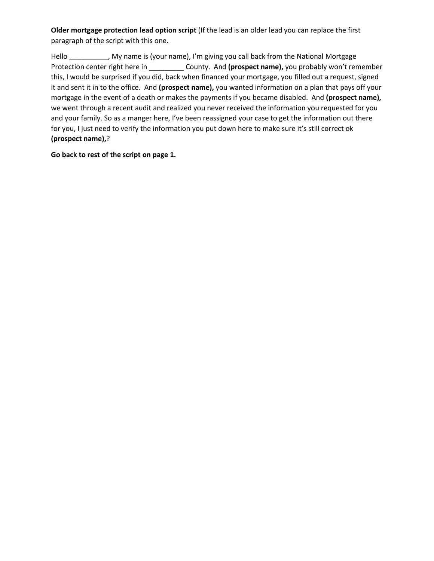**Older mortgage protection lead option script** (If the lead is an older lead you can replace the first paragraph of the script with this one.

Hello \_\_\_\_\_\_\_\_\_, My name is (your name), I'm giving you call back from the National Mortgage Protection center right here in \_\_\_\_\_\_\_\_\_ County. And **(prospect name),** you probably won't remember this, I would be surprised if you did, back when financed your mortgage, you filled out a request, signed it and sent it in to the office. And **(prospect name),** you wanted information on a plan that pays off your mortgage in the event of a death or makes the payments if you became disabled. And **(prospect name),** we went through a recent audit and realized you never received the information you requested for you and your family. So as a manger here, I've been reassigned your case to get the information out there for you, I just need to verify the information you put down here to make sure it's still correct ok **(prospect name),**?

**Go back to rest of the script on page 1.**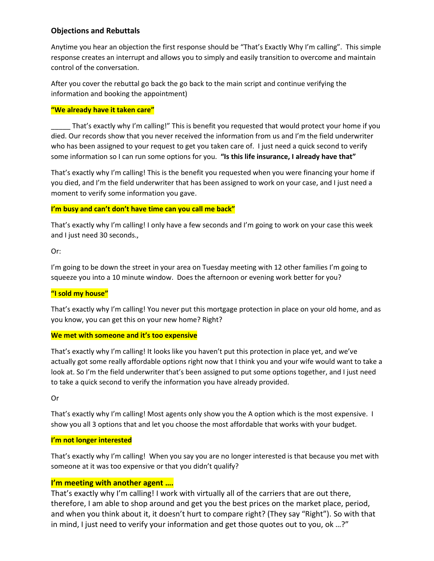## **Objections and Rebuttals**

Anytime you hear an objection the first response should be "That's Exactly Why I'm calling". This simple response creates an interrupt and allows you to simply and easily transition to overcome and maintain control of the conversation.

After you cover the rebuttal go back the go back to the main script and continue verifying the information and booking the appointment)

### **"We already have it taken care"**

That's exactly why I'm calling!" This is benefit you requested that would protect your home if you died. Our records show that you never received the information from us and I'm the field underwriter who has been assigned to your request to get you taken care of. I just need a quick second to verify some information so I can run some options for you. **"Is this life insurance, I already have that"**

That's exactly why I'm calling! This is the benefit you requested when you were financing your home if you died, and I'm the field underwriter that has been assigned to work on your case, and I just need a moment to verify some information you gave.

### **I'm busy and can't don't have time can you call me back"**

That's exactly why I'm calling! I only have a few seconds and I'm going to work on your case this week and I just need 30 seconds.,

Or:

I'm going to be down the street in your area on Tuesday meeting with 12 other families I'm going to squeeze you into a 10 minute window. Does the afternoon or evening work better for you?

### **"I sold my house"**

That's exactly why I'm calling! You never put this mortgage protection in place on your old home, and as you know, you can get this on your new home? Right?

### **We met with someone and it's too expensive**

That's exactly why I'm calling! It looks like you haven't put this protection in place yet, and we've actually got some really affordable options right now that I think you and your wife would want to take a look at. So I'm the field underwriter that's been assigned to put some options together, and I just need to take a quick second to verify the information you have already provided.

Or

That's exactly why I'm calling! Most agents only show you the A option which is the most expensive. I show you all 3 options that and let you choose the most affordable that works with your budget.

## **I'm not longer interested**

That's exactly why I'm calling! When you say you are no longer interested is that because you met with someone at it was too expensive or that you didn't qualify?

## **I'm meeting with another agent ….**

That's exactly why I'm calling! I work with virtually all of the carriers that are out there, therefore, I am able to shop around and get you the best prices on the market place, period, and when you think about it, it doesn't hurt to compare right? (They say "Right"). So with that in mind, I just need to verify your information and get those quotes out to you, ok …?"